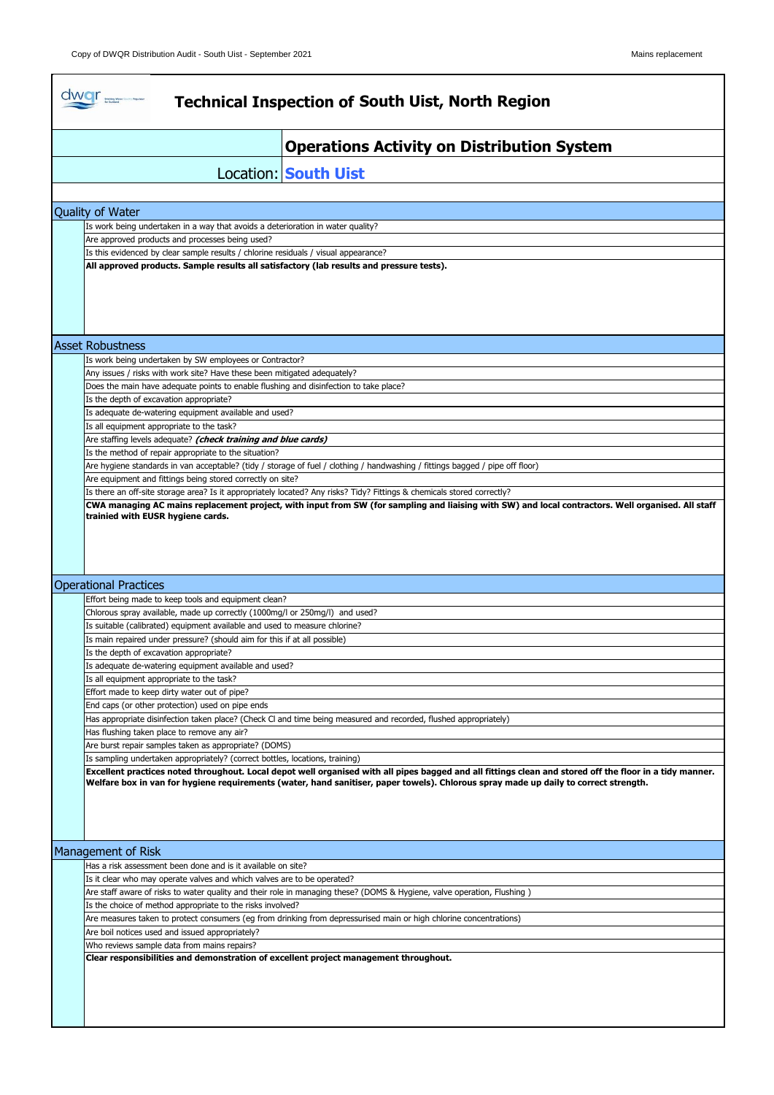$\mathbf{r}$ 

| <b>Location: South Uist</b><br>Quality of Water<br>Is work being undertaken in a way that avoids a deterioration in water quality?<br>Are approved products and processes being used?<br>Is this evidenced by clear sample results / chlorine residuals / visual appearance?<br>All approved products. Sample results all satisfactory (lab results and pressure tests).<br><b>Asset Robustness</b><br>Is work being undertaken by SW employees or Contractor?<br>Any issues / risks with work site? Have these been mitigated adequately?<br>Does the main have adequate points to enable flushing and disinfection to take place?<br>Is the depth of excavation appropriate?<br>Is adequate de-watering equipment available and used?<br>Is all equipment appropriate to the task?<br>Are staffing levels adequate? (check training and blue cards)<br>Is the method of repair appropriate to the situation?<br>Are hygiene standards in van acceptable? (tidy / storage of fuel / clothing / handwashing / fittings bagged / pipe off floor)<br>Are equipment and fittings being stored correctly on site?<br>Is there an off-site storage area? Is it appropriately located? Any risks? Tidy? Fittings & chemicals stored correctly?<br>CWA managing AC mains replacement project, with input from SW (for sampling and liaising with SW) and local contractors. Well organised. All staff<br>trainied with EUSR hygiene cards.<br><b>Operational Practices</b><br>Effort being made to keep tools and equipment clean?<br>Chlorous spray available, made up correctly (1000mg/l or 250mg/l) and used?<br>Is suitable (calibrated) equipment available and used to measure chlorine?<br>Is main repaired under pressure? (should aim for this if at all possible)<br>Is the depth of excavation appropriate?<br>Is adequate de-watering equipment available and used?<br>Is all equipment appropriate to the task?<br>Effort made to keep dirty water out of pipe?<br>End caps (or other protection) used on pipe ends<br>Has appropriate disinfection taken place? (Check CI and time being measured and recorded, flushed appropriately)<br>Has flushing taken place to remove any air?<br>Are burst repair samples taken as appropriate? (DOMS)<br>Is sampling undertaken appropriately? (correct bottles, locations, training)<br>Excellent practices noted throughout. Local depot well organised with all pipes bagged and all fittings clean and stored off the floor in a tidy manner.<br>Welfare box in van for hygiene requirements (water, hand sanitiser, paper towels). Chlorous spray made up daily to correct strength.<br>Management of Risk<br>Has a risk assessment been done and is it available on site?<br>Is it clear who may operate valves and which valves are to be operated?<br>Are staff aware of risks to water quality and their role in managing these? (DOMS & Hygiene, valve operation, Flushing)<br>Is the choice of method appropriate to the risks involved?<br>Are measures taken to protect consumers (eg from drinking from depressurised main or high chlorine concentrations)<br>Are boil notices used and issued appropriately?<br>Who reviews sample data from mains repairs?<br>Clear responsibilities and demonstration of excellent project management throughout. |  | <b>Operations Activity on Distribution System</b> |  |  |  |
|----------------------------------------------------------------------------------------------------------------------------------------------------------------------------------------------------------------------------------------------------------------------------------------------------------------------------------------------------------------------------------------------------------------------------------------------------------------------------------------------------------------------------------------------------------------------------------------------------------------------------------------------------------------------------------------------------------------------------------------------------------------------------------------------------------------------------------------------------------------------------------------------------------------------------------------------------------------------------------------------------------------------------------------------------------------------------------------------------------------------------------------------------------------------------------------------------------------------------------------------------------------------------------------------------------------------------------------------------------------------------------------------------------------------------------------------------------------------------------------------------------------------------------------------------------------------------------------------------------------------------------------------------------------------------------------------------------------------------------------------------------------------------------------------------------------------------------------------------------------------------------------------------------------------------------------------------------------------------------------------------------------------------------------------------------------------------------------------------------------------------------------------------------------------------------------------------------------------------------------------------------------------------------------------------------------------------------------------------------------------------------------------------------------------------------------------------------------------------------------------------------------------------------------------------------------------------------------------------------------------------------------------------------------------------------------------------------------------------------------------------------------------------------------------------------------------------------------------------------------------------------------------------------------------------------------------------------------------------------------------------------------------------------------------------------------------------------------------------------------------------------------------------------------------------------------------------------------------------------------------------------------------------------------------------------------------|--|---------------------------------------------------|--|--|--|
|                                                                                                                                                                                                                                                                                                                                                                                                                                                                                                                                                                                                                                                                                                                                                                                                                                                                                                                                                                                                                                                                                                                                                                                                                                                                                                                                                                                                                                                                                                                                                                                                                                                                                                                                                                                                                                                                                                                                                                                                                                                                                                                                                                                                                                                                                                                                                                                                                                                                                                                                                                                                                                                                                                                                                                                                                                                                                                                                                                                                                                                                                                                                                                                                                                                                                                                      |  |                                                   |  |  |  |
|                                                                                                                                                                                                                                                                                                                                                                                                                                                                                                                                                                                                                                                                                                                                                                                                                                                                                                                                                                                                                                                                                                                                                                                                                                                                                                                                                                                                                                                                                                                                                                                                                                                                                                                                                                                                                                                                                                                                                                                                                                                                                                                                                                                                                                                                                                                                                                                                                                                                                                                                                                                                                                                                                                                                                                                                                                                                                                                                                                                                                                                                                                                                                                                                                                                                                                                      |  |                                                   |  |  |  |
|                                                                                                                                                                                                                                                                                                                                                                                                                                                                                                                                                                                                                                                                                                                                                                                                                                                                                                                                                                                                                                                                                                                                                                                                                                                                                                                                                                                                                                                                                                                                                                                                                                                                                                                                                                                                                                                                                                                                                                                                                                                                                                                                                                                                                                                                                                                                                                                                                                                                                                                                                                                                                                                                                                                                                                                                                                                                                                                                                                                                                                                                                                                                                                                                                                                                                                                      |  |                                                   |  |  |  |
|                                                                                                                                                                                                                                                                                                                                                                                                                                                                                                                                                                                                                                                                                                                                                                                                                                                                                                                                                                                                                                                                                                                                                                                                                                                                                                                                                                                                                                                                                                                                                                                                                                                                                                                                                                                                                                                                                                                                                                                                                                                                                                                                                                                                                                                                                                                                                                                                                                                                                                                                                                                                                                                                                                                                                                                                                                                                                                                                                                                                                                                                                                                                                                                                                                                                                                                      |  |                                                   |  |  |  |
|                                                                                                                                                                                                                                                                                                                                                                                                                                                                                                                                                                                                                                                                                                                                                                                                                                                                                                                                                                                                                                                                                                                                                                                                                                                                                                                                                                                                                                                                                                                                                                                                                                                                                                                                                                                                                                                                                                                                                                                                                                                                                                                                                                                                                                                                                                                                                                                                                                                                                                                                                                                                                                                                                                                                                                                                                                                                                                                                                                                                                                                                                                                                                                                                                                                                                                                      |  |                                                   |  |  |  |
|                                                                                                                                                                                                                                                                                                                                                                                                                                                                                                                                                                                                                                                                                                                                                                                                                                                                                                                                                                                                                                                                                                                                                                                                                                                                                                                                                                                                                                                                                                                                                                                                                                                                                                                                                                                                                                                                                                                                                                                                                                                                                                                                                                                                                                                                                                                                                                                                                                                                                                                                                                                                                                                                                                                                                                                                                                                                                                                                                                                                                                                                                                                                                                                                                                                                                                                      |  |                                                   |  |  |  |
|                                                                                                                                                                                                                                                                                                                                                                                                                                                                                                                                                                                                                                                                                                                                                                                                                                                                                                                                                                                                                                                                                                                                                                                                                                                                                                                                                                                                                                                                                                                                                                                                                                                                                                                                                                                                                                                                                                                                                                                                                                                                                                                                                                                                                                                                                                                                                                                                                                                                                                                                                                                                                                                                                                                                                                                                                                                                                                                                                                                                                                                                                                                                                                                                                                                                                                                      |  |                                                   |  |  |  |
|                                                                                                                                                                                                                                                                                                                                                                                                                                                                                                                                                                                                                                                                                                                                                                                                                                                                                                                                                                                                                                                                                                                                                                                                                                                                                                                                                                                                                                                                                                                                                                                                                                                                                                                                                                                                                                                                                                                                                                                                                                                                                                                                                                                                                                                                                                                                                                                                                                                                                                                                                                                                                                                                                                                                                                                                                                                                                                                                                                                                                                                                                                                                                                                                                                                                                                                      |  |                                                   |  |  |  |
|                                                                                                                                                                                                                                                                                                                                                                                                                                                                                                                                                                                                                                                                                                                                                                                                                                                                                                                                                                                                                                                                                                                                                                                                                                                                                                                                                                                                                                                                                                                                                                                                                                                                                                                                                                                                                                                                                                                                                                                                                                                                                                                                                                                                                                                                                                                                                                                                                                                                                                                                                                                                                                                                                                                                                                                                                                                                                                                                                                                                                                                                                                                                                                                                                                                                                                                      |  |                                                   |  |  |  |
|                                                                                                                                                                                                                                                                                                                                                                                                                                                                                                                                                                                                                                                                                                                                                                                                                                                                                                                                                                                                                                                                                                                                                                                                                                                                                                                                                                                                                                                                                                                                                                                                                                                                                                                                                                                                                                                                                                                                                                                                                                                                                                                                                                                                                                                                                                                                                                                                                                                                                                                                                                                                                                                                                                                                                                                                                                                                                                                                                                                                                                                                                                                                                                                                                                                                                                                      |  |                                                   |  |  |  |
|                                                                                                                                                                                                                                                                                                                                                                                                                                                                                                                                                                                                                                                                                                                                                                                                                                                                                                                                                                                                                                                                                                                                                                                                                                                                                                                                                                                                                                                                                                                                                                                                                                                                                                                                                                                                                                                                                                                                                                                                                                                                                                                                                                                                                                                                                                                                                                                                                                                                                                                                                                                                                                                                                                                                                                                                                                                                                                                                                                                                                                                                                                                                                                                                                                                                                                                      |  |                                                   |  |  |  |
|                                                                                                                                                                                                                                                                                                                                                                                                                                                                                                                                                                                                                                                                                                                                                                                                                                                                                                                                                                                                                                                                                                                                                                                                                                                                                                                                                                                                                                                                                                                                                                                                                                                                                                                                                                                                                                                                                                                                                                                                                                                                                                                                                                                                                                                                                                                                                                                                                                                                                                                                                                                                                                                                                                                                                                                                                                                                                                                                                                                                                                                                                                                                                                                                                                                                                                                      |  |                                                   |  |  |  |
|                                                                                                                                                                                                                                                                                                                                                                                                                                                                                                                                                                                                                                                                                                                                                                                                                                                                                                                                                                                                                                                                                                                                                                                                                                                                                                                                                                                                                                                                                                                                                                                                                                                                                                                                                                                                                                                                                                                                                                                                                                                                                                                                                                                                                                                                                                                                                                                                                                                                                                                                                                                                                                                                                                                                                                                                                                                                                                                                                                                                                                                                                                                                                                                                                                                                                                                      |  |                                                   |  |  |  |
|                                                                                                                                                                                                                                                                                                                                                                                                                                                                                                                                                                                                                                                                                                                                                                                                                                                                                                                                                                                                                                                                                                                                                                                                                                                                                                                                                                                                                                                                                                                                                                                                                                                                                                                                                                                                                                                                                                                                                                                                                                                                                                                                                                                                                                                                                                                                                                                                                                                                                                                                                                                                                                                                                                                                                                                                                                                                                                                                                                                                                                                                                                                                                                                                                                                                                                                      |  |                                                   |  |  |  |
|                                                                                                                                                                                                                                                                                                                                                                                                                                                                                                                                                                                                                                                                                                                                                                                                                                                                                                                                                                                                                                                                                                                                                                                                                                                                                                                                                                                                                                                                                                                                                                                                                                                                                                                                                                                                                                                                                                                                                                                                                                                                                                                                                                                                                                                                                                                                                                                                                                                                                                                                                                                                                                                                                                                                                                                                                                                                                                                                                                                                                                                                                                                                                                                                                                                                                                                      |  |                                                   |  |  |  |
|                                                                                                                                                                                                                                                                                                                                                                                                                                                                                                                                                                                                                                                                                                                                                                                                                                                                                                                                                                                                                                                                                                                                                                                                                                                                                                                                                                                                                                                                                                                                                                                                                                                                                                                                                                                                                                                                                                                                                                                                                                                                                                                                                                                                                                                                                                                                                                                                                                                                                                                                                                                                                                                                                                                                                                                                                                                                                                                                                                                                                                                                                                                                                                                                                                                                                                                      |  |                                                   |  |  |  |
|                                                                                                                                                                                                                                                                                                                                                                                                                                                                                                                                                                                                                                                                                                                                                                                                                                                                                                                                                                                                                                                                                                                                                                                                                                                                                                                                                                                                                                                                                                                                                                                                                                                                                                                                                                                                                                                                                                                                                                                                                                                                                                                                                                                                                                                                                                                                                                                                                                                                                                                                                                                                                                                                                                                                                                                                                                                                                                                                                                                                                                                                                                                                                                                                                                                                                                                      |  |                                                   |  |  |  |
|                                                                                                                                                                                                                                                                                                                                                                                                                                                                                                                                                                                                                                                                                                                                                                                                                                                                                                                                                                                                                                                                                                                                                                                                                                                                                                                                                                                                                                                                                                                                                                                                                                                                                                                                                                                                                                                                                                                                                                                                                                                                                                                                                                                                                                                                                                                                                                                                                                                                                                                                                                                                                                                                                                                                                                                                                                                                                                                                                                                                                                                                                                                                                                                                                                                                                                                      |  |                                                   |  |  |  |
|                                                                                                                                                                                                                                                                                                                                                                                                                                                                                                                                                                                                                                                                                                                                                                                                                                                                                                                                                                                                                                                                                                                                                                                                                                                                                                                                                                                                                                                                                                                                                                                                                                                                                                                                                                                                                                                                                                                                                                                                                                                                                                                                                                                                                                                                                                                                                                                                                                                                                                                                                                                                                                                                                                                                                                                                                                                                                                                                                                                                                                                                                                                                                                                                                                                                                                                      |  |                                                   |  |  |  |
|                                                                                                                                                                                                                                                                                                                                                                                                                                                                                                                                                                                                                                                                                                                                                                                                                                                                                                                                                                                                                                                                                                                                                                                                                                                                                                                                                                                                                                                                                                                                                                                                                                                                                                                                                                                                                                                                                                                                                                                                                                                                                                                                                                                                                                                                                                                                                                                                                                                                                                                                                                                                                                                                                                                                                                                                                                                                                                                                                                                                                                                                                                                                                                                                                                                                                                                      |  |                                                   |  |  |  |
|                                                                                                                                                                                                                                                                                                                                                                                                                                                                                                                                                                                                                                                                                                                                                                                                                                                                                                                                                                                                                                                                                                                                                                                                                                                                                                                                                                                                                                                                                                                                                                                                                                                                                                                                                                                                                                                                                                                                                                                                                                                                                                                                                                                                                                                                                                                                                                                                                                                                                                                                                                                                                                                                                                                                                                                                                                                                                                                                                                                                                                                                                                                                                                                                                                                                                                                      |  |                                                   |  |  |  |
|                                                                                                                                                                                                                                                                                                                                                                                                                                                                                                                                                                                                                                                                                                                                                                                                                                                                                                                                                                                                                                                                                                                                                                                                                                                                                                                                                                                                                                                                                                                                                                                                                                                                                                                                                                                                                                                                                                                                                                                                                                                                                                                                                                                                                                                                                                                                                                                                                                                                                                                                                                                                                                                                                                                                                                                                                                                                                                                                                                                                                                                                                                                                                                                                                                                                                                                      |  |                                                   |  |  |  |
|                                                                                                                                                                                                                                                                                                                                                                                                                                                                                                                                                                                                                                                                                                                                                                                                                                                                                                                                                                                                                                                                                                                                                                                                                                                                                                                                                                                                                                                                                                                                                                                                                                                                                                                                                                                                                                                                                                                                                                                                                                                                                                                                                                                                                                                                                                                                                                                                                                                                                                                                                                                                                                                                                                                                                                                                                                                                                                                                                                                                                                                                                                                                                                                                                                                                                                                      |  |                                                   |  |  |  |
|                                                                                                                                                                                                                                                                                                                                                                                                                                                                                                                                                                                                                                                                                                                                                                                                                                                                                                                                                                                                                                                                                                                                                                                                                                                                                                                                                                                                                                                                                                                                                                                                                                                                                                                                                                                                                                                                                                                                                                                                                                                                                                                                                                                                                                                                                                                                                                                                                                                                                                                                                                                                                                                                                                                                                                                                                                                                                                                                                                                                                                                                                                                                                                                                                                                                                                                      |  |                                                   |  |  |  |
|                                                                                                                                                                                                                                                                                                                                                                                                                                                                                                                                                                                                                                                                                                                                                                                                                                                                                                                                                                                                                                                                                                                                                                                                                                                                                                                                                                                                                                                                                                                                                                                                                                                                                                                                                                                                                                                                                                                                                                                                                                                                                                                                                                                                                                                                                                                                                                                                                                                                                                                                                                                                                                                                                                                                                                                                                                                                                                                                                                                                                                                                                                                                                                                                                                                                                                                      |  |                                                   |  |  |  |
|                                                                                                                                                                                                                                                                                                                                                                                                                                                                                                                                                                                                                                                                                                                                                                                                                                                                                                                                                                                                                                                                                                                                                                                                                                                                                                                                                                                                                                                                                                                                                                                                                                                                                                                                                                                                                                                                                                                                                                                                                                                                                                                                                                                                                                                                                                                                                                                                                                                                                                                                                                                                                                                                                                                                                                                                                                                                                                                                                                                                                                                                                                                                                                                                                                                                                                                      |  |                                                   |  |  |  |
|                                                                                                                                                                                                                                                                                                                                                                                                                                                                                                                                                                                                                                                                                                                                                                                                                                                                                                                                                                                                                                                                                                                                                                                                                                                                                                                                                                                                                                                                                                                                                                                                                                                                                                                                                                                                                                                                                                                                                                                                                                                                                                                                                                                                                                                                                                                                                                                                                                                                                                                                                                                                                                                                                                                                                                                                                                                                                                                                                                                                                                                                                                                                                                                                                                                                                                                      |  |                                                   |  |  |  |
|                                                                                                                                                                                                                                                                                                                                                                                                                                                                                                                                                                                                                                                                                                                                                                                                                                                                                                                                                                                                                                                                                                                                                                                                                                                                                                                                                                                                                                                                                                                                                                                                                                                                                                                                                                                                                                                                                                                                                                                                                                                                                                                                                                                                                                                                                                                                                                                                                                                                                                                                                                                                                                                                                                                                                                                                                                                                                                                                                                                                                                                                                                                                                                                                                                                                                                                      |  |                                                   |  |  |  |
|                                                                                                                                                                                                                                                                                                                                                                                                                                                                                                                                                                                                                                                                                                                                                                                                                                                                                                                                                                                                                                                                                                                                                                                                                                                                                                                                                                                                                                                                                                                                                                                                                                                                                                                                                                                                                                                                                                                                                                                                                                                                                                                                                                                                                                                                                                                                                                                                                                                                                                                                                                                                                                                                                                                                                                                                                                                                                                                                                                                                                                                                                                                                                                                                                                                                                                                      |  |                                                   |  |  |  |
|                                                                                                                                                                                                                                                                                                                                                                                                                                                                                                                                                                                                                                                                                                                                                                                                                                                                                                                                                                                                                                                                                                                                                                                                                                                                                                                                                                                                                                                                                                                                                                                                                                                                                                                                                                                                                                                                                                                                                                                                                                                                                                                                                                                                                                                                                                                                                                                                                                                                                                                                                                                                                                                                                                                                                                                                                                                                                                                                                                                                                                                                                                                                                                                                                                                                                                                      |  |                                                   |  |  |  |
|                                                                                                                                                                                                                                                                                                                                                                                                                                                                                                                                                                                                                                                                                                                                                                                                                                                                                                                                                                                                                                                                                                                                                                                                                                                                                                                                                                                                                                                                                                                                                                                                                                                                                                                                                                                                                                                                                                                                                                                                                                                                                                                                                                                                                                                                                                                                                                                                                                                                                                                                                                                                                                                                                                                                                                                                                                                                                                                                                                                                                                                                                                                                                                                                                                                                                                                      |  |                                                   |  |  |  |
|                                                                                                                                                                                                                                                                                                                                                                                                                                                                                                                                                                                                                                                                                                                                                                                                                                                                                                                                                                                                                                                                                                                                                                                                                                                                                                                                                                                                                                                                                                                                                                                                                                                                                                                                                                                                                                                                                                                                                                                                                                                                                                                                                                                                                                                                                                                                                                                                                                                                                                                                                                                                                                                                                                                                                                                                                                                                                                                                                                                                                                                                                                                                                                                                                                                                                                                      |  |                                                   |  |  |  |
|                                                                                                                                                                                                                                                                                                                                                                                                                                                                                                                                                                                                                                                                                                                                                                                                                                                                                                                                                                                                                                                                                                                                                                                                                                                                                                                                                                                                                                                                                                                                                                                                                                                                                                                                                                                                                                                                                                                                                                                                                                                                                                                                                                                                                                                                                                                                                                                                                                                                                                                                                                                                                                                                                                                                                                                                                                                                                                                                                                                                                                                                                                                                                                                                                                                                                                                      |  |                                                   |  |  |  |